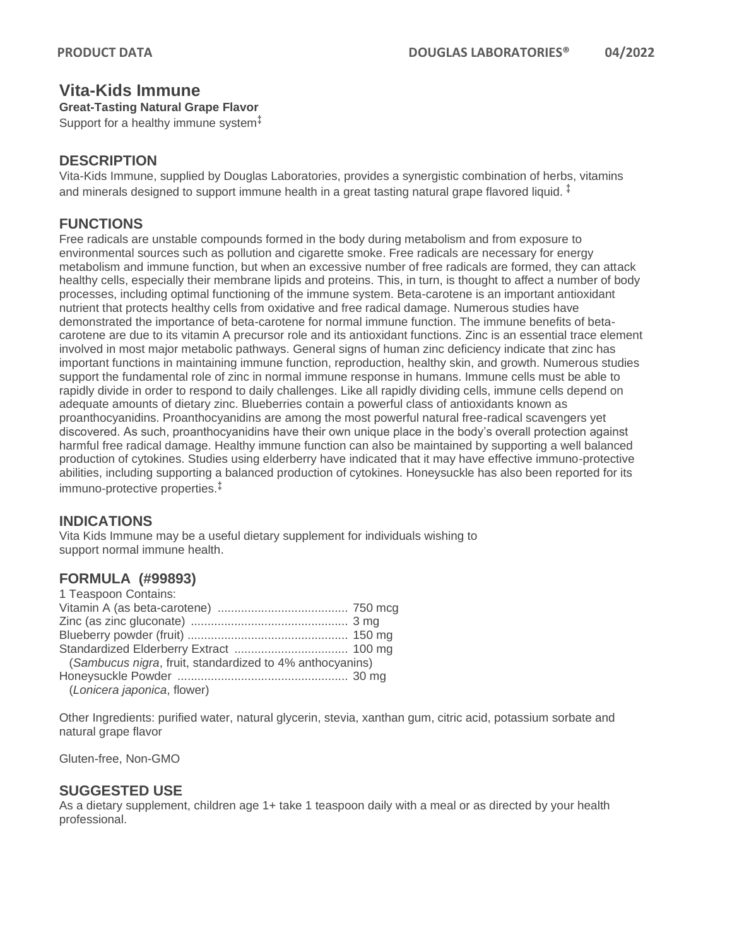# **Vita-Kids Immune**

**Great-Tasting Natural Grape Flavor**

Support for a healthy immune system $\frac{1}{2}$ 

## **DESCRIPTION**

Vita-Kids Immune, supplied by Douglas Laboratories, provides a synergistic combination of herbs, vitamins and minerals designed to support immune health in a great tasting natural grape flavored liquid.  $\ddot{\cdot}$ 

# **FUNCTIONS**

Free radicals are unstable compounds formed in the body during metabolism and from exposure to environmental sources such as pollution and cigarette smoke. Free radicals are necessary for energy metabolism and immune function, but when an excessive number of free radicals are formed, they can attack healthy cells, especially their membrane lipids and proteins. This, in turn, is thought to affect a number of body processes, including optimal functioning of the immune system. Beta-carotene is an important antioxidant nutrient that protects healthy cells from oxidative and free radical damage. Numerous studies have demonstrated the importance of beta-carotene for normal immune function. The immune benefits of betacarotene are due to its vitamin A precursor role and its antioxidant functions. Zinc is an essential trace element involved in most major metabolic pathways. General signs of human zinc deficiency indicate that zinc has important functions in maintaining immune function, reproduction, healthy skin, and growth. Numerous studies support the fundamental role of zinc in normal immune response in humans. Immune cells must be able to rapidly divide in order to respond to daily challenges. Like all rapidly dividing cells, immune cells depend on adequate amounts of dietary zinc. Blueberries contain a powerful class of antioxidants known as proanthocyanidins. Proanthocyanidins are among the most powerful natural free-radical scavengers yet discovered. As such, proanthocyanidins have their own unique place in the body's overall protection against harmful free radical damage. Healthy immune function can also be maintained by supporting a well balanced production of cytokines. Studies using elderberry have indicated that it may have effective immuno-protective abilities, including supporting a balanced production of cytokines. Honeysuckle has also been reported for its immuno-protective properties.‡

# **INDICATIONS**

Vita Kids Immune may be a useful dietary supplement for individuals wishing to support normal immune health.

# **FORMULA (#99893)**

| 1 Teaspoon Contains:                                     |  |
|----------------------------------------------------------|--|
|                                                          |  |
|                                                          |  |
|                                                          |  |
|                                                          |  |
| (Sambucus nigra, fruit, standardized to 4% anthocyanins) |  |
|                                                          |  |
| (Lonicera japonica, flower)                              |  |

Other Ingredients: purified water, natural glycerin, stevia, xanthan gum, citric acid, potassium sorbate and natural grape flavor

Gluten-free, Non-GMO

### **SUGGESTED USE**

As a dietary supplement, children age 1+ take 1 teaspoon daily with a meal or as directed by your health professional.